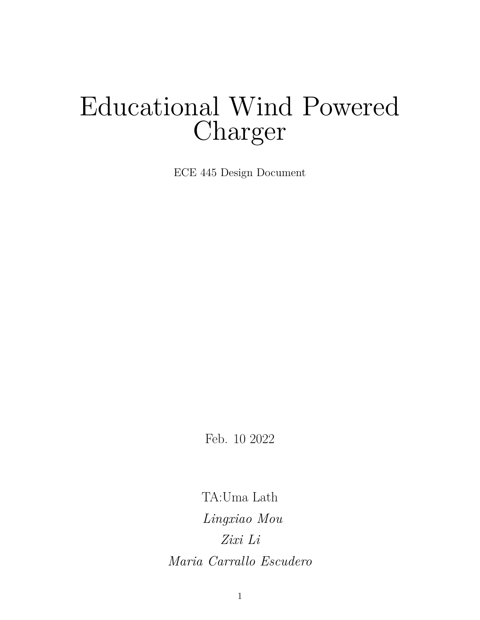# Educational Wind Powered Charger

ECE 445 Design Document

Feb. 10 2022

TA:Uma Lath *Lingxiao Mou Zixi Li Maria Carrallo Escudero*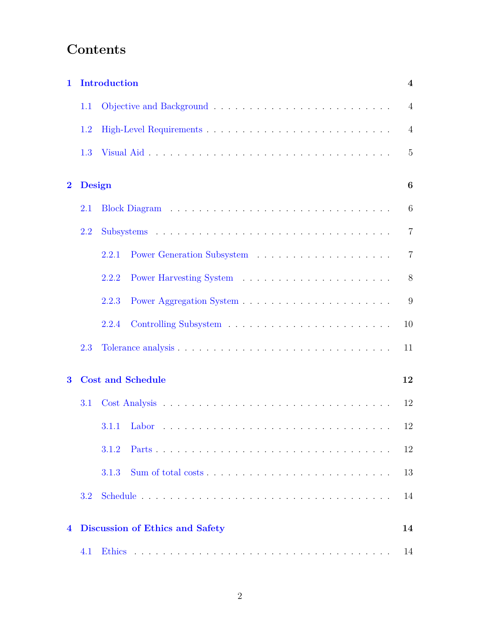# **Contents**

| $\mathbf{1}$   |               | Introduction                           | $\overline{\mathbf{4}}$ |
|----------------|---------------|----------------------------------------|-------------------------|
|                | 1.1           |                                        | $\overline{4}$          |
|                | 1.2           |                                        | $\overline{4}$          |
|                | 1.3           |                                        | 5                       |
| $\overline{2}$ | <b>Design</b> |                                        | 6                       |
|                | 2.1           |                                        | 6                       |
|                | 2.2           |                                        | $\overline{7}$          |
|                |               | 2.2.1                                  | $\overline{7}$          |
|                |               | 2.2.2                                  | 8                       |
|                |               | 2.2.3                                  | 9                       |
|                |               | 2.2.4                                  | 10                      |
|                | 2.3           |                                        | 11                      |
| $\bf{3}$       |               | <b>Cost and Schedule</b>               | 12                      |
|                | 3.1           |                                        | 12                      |
|                |               | $3.1.1$ Labor                          | 12                      |
|                |               | 3.1.2                                  | 12                      |
|                |               | 3.1.3                                  | 13                      |
|                | 3.2           |                                        | 14                      |
| 4              |               | <b>Discussion of Ethics and Safety</b> | 14                      |
|                | 4.1           |                                        | 14                      |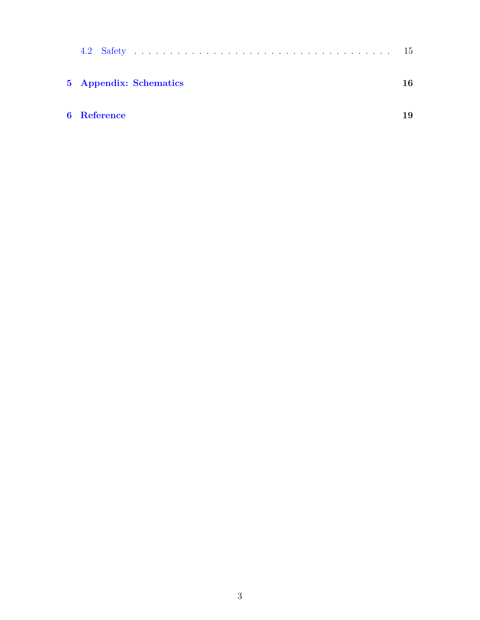|                    | 5 Appendix: Schematics | 16 |
|--------------------|------------------------|----|
| <b>6</b> Reference |                        | 19 |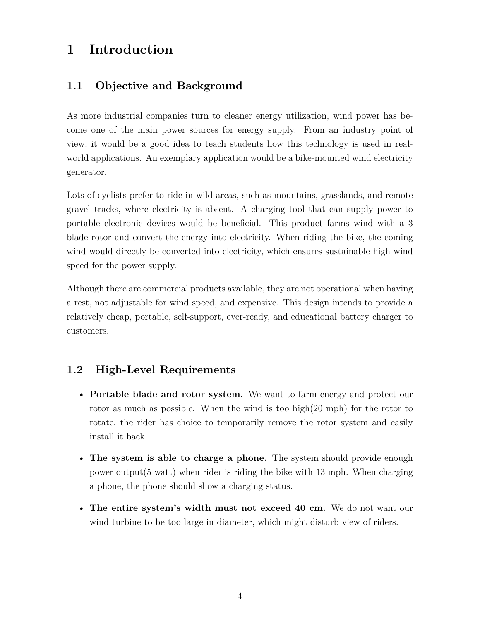## <span id="page-3-0"></span>**1 Introduction**

#### <span id="page-3-1"></span>**1.1 Objective and Background**

As more industrial companies turn to cleaner energy utilization, wind power has become one of the main power sources for energy supply. From an industry point of view, it would be a good idea to teach students how this technology is used in realworld applications. An exemplary application would be a bike-mounted wind electricity generator.

Lots of cyclists prefer to ride in wild areas, such as mountains, grasslands, and remote gravel tracks, where electricity is absent. A charging tool that can supply power to portable electronic devices would be beneficial. This product farms wind with a 3 blade rotor and convert the energy into electricity. When riding the bike, the coming wind would directly be converted into electricity, which ensures sustainable high wind speed for the power supply.

Although there are commercial products available, they are not operational when having a rest, not adjustable for wind speed, and expensive. This design intends to provide a relatively cheap, portable, self-support, ever-ready, and educational battery charger to customers.

#### <span id="page-3-2"></span>**1.2 High-Level Requirements**

- **Portable blade and rotor system.** We want to farm energy and protect our rotor as much as possible. When the wind is too high(20 mph) for the rotor to rotate, the rider has choice to temporarily remove the rotor system and easily install it back.
- **The system is able to charge a phone.** The system should provide enough power output(5 watt) when rider is riding the bike with 13 mph. When charging a phone, the phone should show a charging status.
- **The entire system's width must not exceed 40 cm.** We do not want our wind turbine to be too large in diameter, which might disturb view of riders.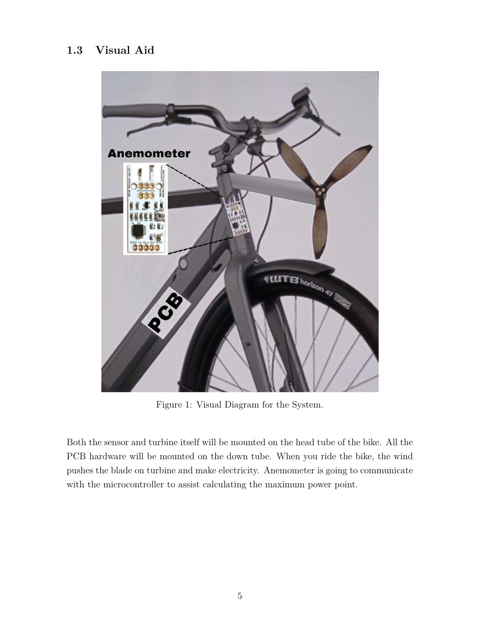#### <span id="page-4-0"></span>**1.3 Visual Aid**



Figure 1: Visual Diagram for the System.

Both the sensor and turbine itself will be mounted on the head tube of the bike. All the PCB hardware will be mounted on the down tube. When you ride the bike, the wind pushes the blade on turbine and make electricity. Anemometer is going to communicate with the microcontroller to assist calculating the maximum power point.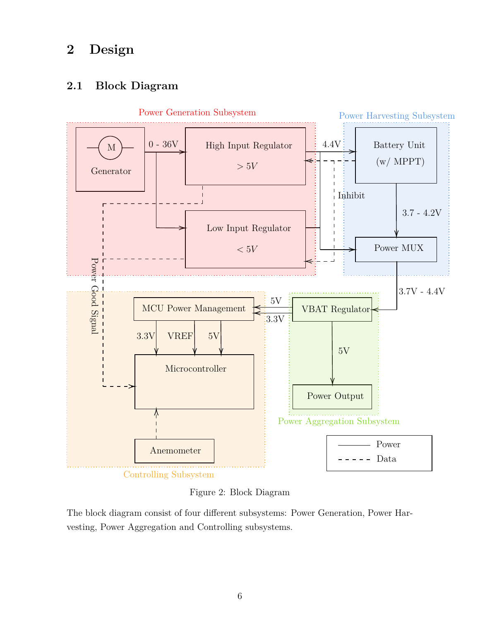### <span id="page-5-0"></span>**2 Design**

#### <span id="page-5-1"></span>**2.1 Block Diagram**



Figure 2: Block Diagram

The block diagram consist of four different subsystems: Power Generation, Power Harvesting, Power Aggregation and Controlling subsystems.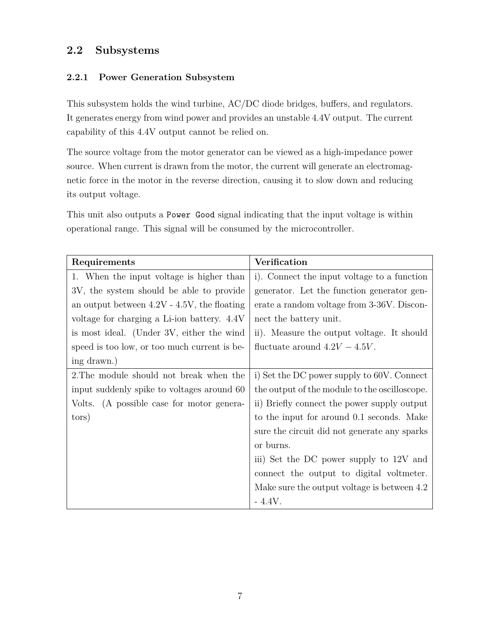#### <span id="page-6-0"></span>**2.2 Subsystems**

#### <span id="page-6-1"></span>**2.2.1 Power Generation Subsystem**

This subsystem holds the wind turbine, AC/DC diode bridges, buffers, and regulators. It generates energy from wind power and provides an unstable 4.4V output. The current capability of this 4.4V output cannot be relied on.

The source voltage from the motor generator can be viewed as a high-impedance power source. When current is drawn from the motor, the current will generate an electromagnetic force in the motor in the reverse direction, causing it to slow down and reducing its output voltage.

This unit also outputs a Power Good signal indicating that the input voltage is within operational range. This signal will be consumed by the microcontroller.

| Requirements                                   | <b>Verification</b>                           |  |  |
|------------------------------------------------|-----------------------------------------------|--|--|
| 1. When the input voltage is higher than       | i). Connect the input voltage to a function   |  |  |
| 3V, the system should be able to provide       | generator. Let the function generator gen-    |  |  |
| an output between $4.2V - 4.5V$ , the floating | erate a random voltage from 3-36V. Discon-    |  |  |
| voltage for charging a Li-ion battery. 4.4V    | nect the battery unit.                        |  |  |
| is most ideal. (Under 3V, either the wind      | ii). Measure the output voltage. It should    |  |  |
| speed is too low, or too much current is be-   | fluctuate around $4.2V - 4.5V$ .              |  |  |
| ing drawn.)                                    |                                               |  |  |
| 2. The module should not break when the        | i) Set the DC power supply to 60V. Connect    |  |  |
| input suddenly spike to voltages around 60     | the output of the module to the oscilloscope. |  |  |
| Volts. (A possible case for motor genera-      | ii) Briefly connect the power supply output   |  |  |
| tors)                                          | to the input for around 0.1 seconds. Make     |  |  |
|                                                | sure the circuit did not generate any sparks  |  |  |
|                                                | or burns.                                     |  |  |
|                                                | iii) Set the DC power supply to 12V and       |  |  |
|                                                | connect the output to digital voltmeter.      |  |  |
|                                                | Make sure the output voltage is between 4.2   |  |  |
|                                                | $-4.4V$ .                                     |  |  |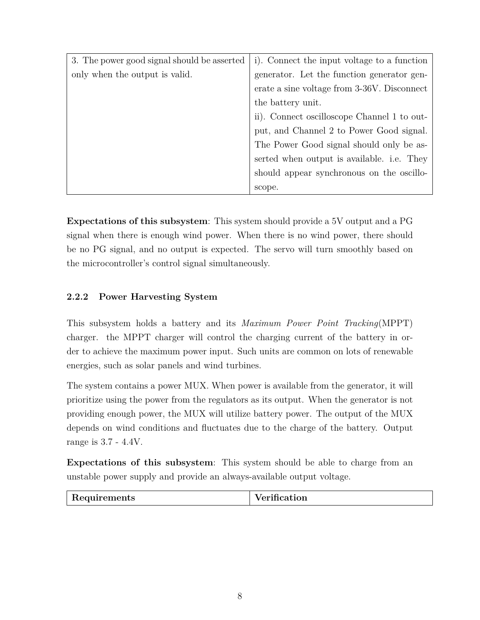| 3. The power good signal should be asserted | i). Connect the input voltage to a function |
|---------------------------------------------|---------------------------------------------|
| only when the output is valid.              | generator. Let the function generator gen-  |
|                                             | erate a sine voltage from 3-36V. Disconnect |
|                                             | the battery unit.                           |
|                                             | ii). Connect oscilloscope Channel 1 to out- |
|                                             | put, and Channel 2 to Power Good signal.    |
|                                             | The Power Good signal should only be as-    |
|                                             | serted when output is available. i.e. They  |
|                                             | should appear synchronous on the oscillo-   |
|                                             | scope.                                      |

**Expectations of this subsystem**: This system should provide a 5V output and a PG signal when there is enough wind power. When there is no wind power, there should be no PG signal, and no output is expected. The servo will turn smoothly based on the microcontroller's control signal simultaneously.

#### <span id="page-7-0"></span>**2.2.2 Power Harvesting System**

This subsystem holds a battery and its *Maximum Power Point Tracking*(MPPT) charger. the MPPT charger will control the charging current of the battery in order to achieve the maximum power input. Such units are common on lots of renewable energies, such as solar panels and wind turbines.

The system contains a power MUX. When power is available from the generator, it will prioritize using the power from the regulators as its output. When the generator is not providing enough power, the MUX will utilize battery power. The output of the MUX depends on wind conditions and fluctuates due to the charge of the battery. Output range is 3.7 - 4.4V.

**Expectations of this subsystem**: This system should be able to charge from an unstable power supply and provide an always-available output voltage.

| Requirements | Verification |
|--------------|--------------|
|              |              |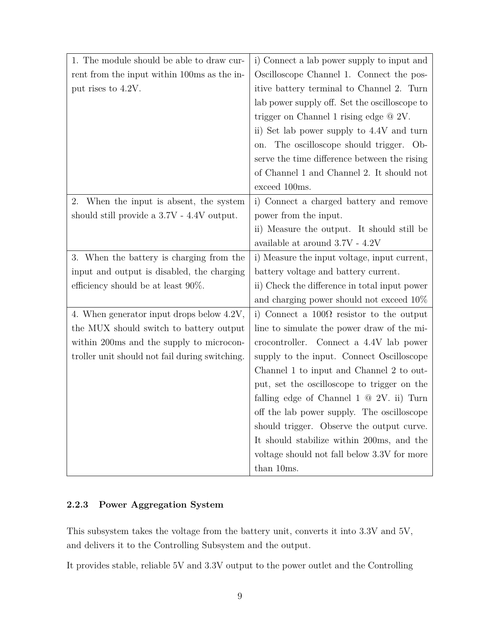| 1. The module should be able to draw cur-      | i) Connect a lab power supply to input and        |  |  |
|------------------------------------------------|---------------------------------------------------|--|--|
| rent from the input within 100ms as the in-    | Oscilloscope Channel 1. Connect the pos-          |  |  |
| put rises to 4.2V.                             | itive battery terminal to Channel 2. Turn         |  |  |
|                                                | lab power supply off. Set the oscilloscope to     |  |  |
|                                                | trigger on Channel 1 rising edge $@ 2V$ .         |  |  |
|                                                | ii) Set lab power supply to 4.4V and turn         |  |  |
|                                                | on. The oscilloscope should trigger. Ob-          |  |  |
|                                                | serve the time difference between the rising      |  |  |
|                                                | of Channel 1 and Channel 2. It should not         |  |  |
|                                                | exceed 100ms.                                     |  |  |
| 2.<br>When the input is absent, the system     | i) Connect a charged battery and remove           |  |  |
| should still provide a 3.7V - 4.4V output.     | power from the input.                             |  |  |
|                                                | ii) Measure the output. It should still be        |  |  |
|                                                | available at around $3.7V - 4.2V$                 |  |  |
| 3. When the battery is charging from the       | i) Measure the input voltage, input current,      |  |  |
| input and output is disabled, the charging     | battery voltage and battery current.              |  |  |
| efficiency should be at least $90\%$ .         | ii) Check the difference in total input power     |  |  |
|                                                | and charging power should not exceed $10\%$       |  |  |
| 4. When generator input drops below 4.2V,      | i) Connect a $100\Omega$ resistor to the output   |  |  |
| the MUX should switch to battery output        | line to simulate the power draw of the mi-        |  |  |
| within 200ms and the supply to microcon-       | crocontroller. Connect a 4.4V lab power           |  |  |
| troller unit should not fail during switching. | supply to the input. Connect Oscilloscope         |  |  |
|                                                | Channel 1 to input and Channel 2 to out-          |  |  |
|                                                | put, set the oscilloscope to trigger on the       |  |  |
|                                                | falling edge of Channel $1 \otimes 2V$ . ii) Turn |  |  |
|                                                | off the lab power supply. The oscilloscope        |  |  |
|                                                | should trigger. Observe the output curve.         |  |  |
|                                                | It should stabilize within 200ms, and the         |  |  |
|                                                | voltage should not fall below 3.3V for more       |  |  |
|                                                | than 10ms.                                        |  |  |

#### <span id="page-8-0"></span>**2.2.3 Power Aggregation System**

This subsystem takes the voltage from the battery unit, converts it into 3.3V and 5V, and delivers it to the Controlling Subsystem and the output.

It provides stable, reliable 5V and 3.3V output to the power outlet and the Controlling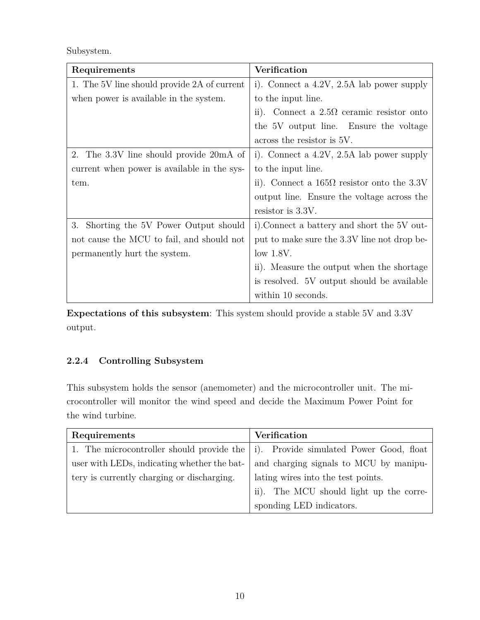Subsystem.

| Requirements                                | <b>Verification</b>                               |  |  |
|---------------------------------------------|---------------------------------------------------|--|--|
| 1. The 5V line should provide 2A of current | i). Connect a $4.2V$ , $2.5A$ lab power supply    |  |  |
| when power is available in the system.      | to the input line.                                |  |  |
|                                             | ii). Connect a $2.5\Omega$ ceramic resistor onto  |  |  |
|                                             | the 5V output line. Ensure the voltage            |  |  |
|                                             | across the resistor is 5V.                        |  |  |
| 2. The 3.3V line should provide 20mA of     | i). Connect a $4.2V$ , $2.5A$ lab power supply    |  |  |
| current when power is available in the sys- | to the input line.                                |  |  |
| tem.                                        | ii). Connect a $165\Omega$ resistor onto the 3.3V |  |  |
|                                             | output line. Ensure the voltage across the        |  |  |
|                                             | resistor is $3.3V$ .                              |  |  |
| 3. Shorting the 5V Power Output should      | i). Connect a battery and short the 5V out-       |  |  |
| not cause the MCU to fail, and should not   | put to make sure the 3.3V line not drop be-       |  |  |
| permanently hurt the system.                | $low$ 1.8V.                                       |  |  |
|                                             | ii). Measure the output when the shortage         |  |  |
|                                             | is resolved. 5V output should be available        |  |  |
|                                             | within 10 seconds.                                |  |  |

**Expectations of this subsystem**: This system should provide a stable 5V and 3.3V output.

#### <span id="page-9-0"></span>**2.2.4 Controlling Subsystem**

This subsystem holds the sensor (anemometer) and the microcontroller unit. The microcontroller will monitor the wind speed and decide the Maximum Power Point for the wind turbine.

| Requirements                                | <b>Verification</b>                                                                               |  |  |
|---------------------------------------------|---------------------------------------------------------------------------------------------------|--|--|
|                                             | 1. The microcontroller should provide the $\vert i \rangle$ . Provide simulated Power Good, float |  |  |
| user with LEDs, indicating whether the bat- | and charging signals to MCU by manipu-                                                            |  |  |
| tery is currently charging or discharging.  | lating wires into the test points.                                                                |  |  |
|                                             | The MCU should light up the corre-<br>$\mathrm{ii}).$                                             |  |  |
|                                             | sponding LED indicators.                                                                          |  |  |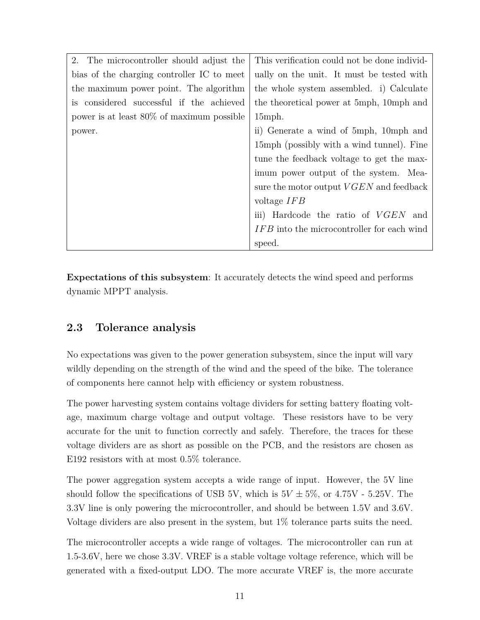| 2. The microcontroller should adjust the     | This verification could not be done individ-      |  |  |
|----------------------------------------------|---------------------------------------------------|--|--|
| bias of the charging controller IC to meet   | ually on the unit. It must be tested with         |  |  |
| the maximum power point. The algorithm       | the whole system assembled. i) Calculate          |  |  |
| is considered successful if the achieved     | the theoretical power at 5mph, 10mph and          |  |  |
| power is at least $80\%$ of maximum possible | $15$ mph.                                         |  |  |
| power.                                       | ii) Generate a wind of 5mph, 10mph and            |  |  |
|                                              | 15mph (possibly with a wind tunnel). Fine         |  |  |
|                                              | tune the feedback voltage to get the max-         |  |  |
|                                              | imum power output of the system. Mea-             |  |  |
|                                              | sure the motor output $VGEN$ and feedback         |  |  |
|                                              | voltage $IFB$                                     |  |  |
|                                              | iii) Hardcode the ratio of VGEN and               |  |  |
|                                              | <i>IFB</i> into the microcontroller for each wind |  |  |
|                                              | speed.                                            |  |  |

**Expectations of this subsystem**: It accurately detects the wind speed and performs dynamic MPPT analysis.

#### <span id="page-10-0"></span>**2.3 Tolerance analysis**

No expectations was given to the power generation subsystem, since the input will vary wildly depending on the strength of the wind and the speed of the bike. The tolerance of components here cannot help with efficiency or system robustness.

The power harvesting system contains voltage dividers for setting battery floating voltage, maximum charge voltage and output voltage. These resistors have to be very accurate for the unit to function correctly and safely. Therefore, the traces for these voltage dividers are as short as possible on the PCB, and the resistors are chosen as E192 resistors with at most 0.5% tolerance.

The power aggregation system accepts a wide range of input. However, the 5V line should follow the specifications of USB 5V, which is  $5V \pm 5\%$ , or 4.75V - 5.25V. The 3.3V line is only powering the microcontroller, and should be between 1.5V and 3.6V. Voltage dividers are also present in the system, but 1% tolerance parts suits the need.

The microcontroller accepts a wide range of voltages. The microcontroller can run at 1.5-3.6V, here we chose 3.3V. VREF is a stable voltage voltage reference, which will be generated with a fixed-output LDO. The more accurate VREF is, the more accurate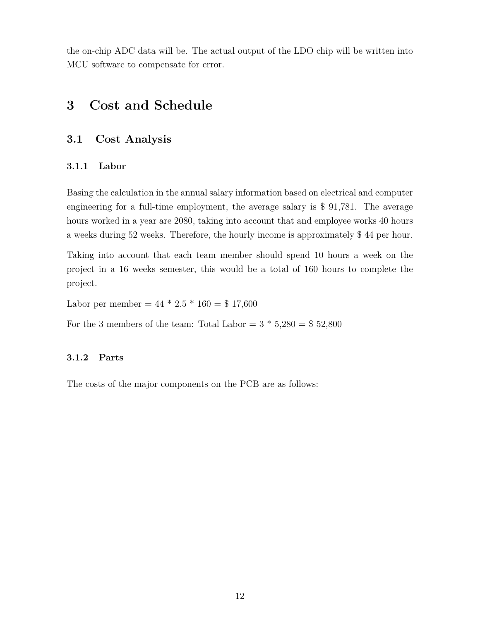the on-chip ADC data will be. The actual output of the LDO chip will be written into MCU software to compensate for error.

#### <span id="page-11-0"></span>**3 Cost and Schedule**

#### <span id="page-11-1"></span>**3.1 Cost Analysis**

#### <span id="page-11-2"></span>**3.1.1 Labor**

Basing the calculation in the annual salary information based on electrical and computer engineering for a full-time employment, the average salary is \$ 91,781. The average hours worked in a year are 2080, taking into account that and employee works 40 hours a weeks during 52 weeks. Therefore, the hourly income is approximately \$ 44 per hour.

Taking into account that each team member should spend 10 hours a week on the project in a 16 weeks semester, this would be a total of 160 hours to complete the project.

Labor per member =  $44 * 2.5 * 160 = $ 17,600$ 

For the 3 members of the team: Total Labor =  $3 * 5,280 = $52,800$ 

#### <span id="page-11-3"></span>**3.1.2 Parts**

The costs of the major components on the PCB are as follows: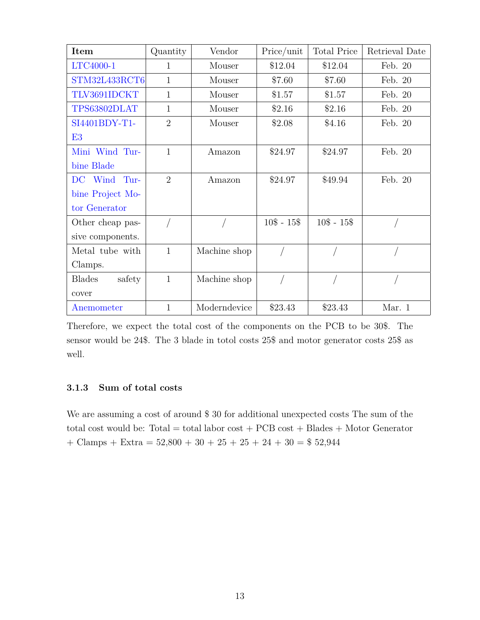| Item                    | Quantity       | Vendor       | Price/unit    | <b>Total Price</b> | Retrieval Date |
|-------------------------|----------------|--------------|---------------|--------------------|----------------|
| LTC4000-1               | 1              | Mouser       | \$12.04       | \$12.04            | Feb. 20        |
| STM32L433RCT6           | $\mathbf{1}$   | Mouser       | \$7.60        | \$7.60             | Feb. 20        |
| TLV3691IDCKT            | $\mathbf{1}$   | Mouser       | \$1.57        | \$1.57             | Feb. 20        |
| TPS63802DLAT            | $\mathbf{1}$   | Mouser       | \$2.16        | \$2.16             | Feb. 20        |
| SI4401BDY-T1-           | $\overline{2}$ | Mouser       | \$2.08        | \$4.16             | Feb. 20        |
| E3                      |                |              |               |                    |                |
| Mini Wind Tur-          | $\mathbf{1}$   | Amazon       | \$24.97       | \$24.97            | Feb. 20        |
| bine Blade              |                |              |               |                    |                |
| DC Wind<br>Tur-         | $\overline{2}$ | Amazon       | \$24.97       | \$49.94            | Feb. 20        |
| bine Project Mo-        |                |              |               |                    |                |
| tor Generator           |                |              |               |                    |                |
| Other cheap pas-        |                |              | $10\$ - $15\$ | $10\$ - $15\$      |                |
| sive components.        |                |              |               |                    |                |
| Metal tube with         | $\mathbf{1}$   | Machine shop |               |                    |                |
| Clamps.                 |                |              |               |                    |                |
| <b>Blades</b><br>safety | $\mathbf{1}$   | Machine shop |               |                    |                |
| cover                   |                |              |               |                    |                |
| Anemometer              | $\mathbf{1}$   | Moderndevice | \$23.43       | \$23.43            | Mar. 1         |

Therefore, we expect the total cost of the components on the PCB to be 30\$. The sensor would be 24\$. The 3 blade in totol costs 25\$ and motor generator costs 25\$ as well.

#### <span id="page-12-0"></span>**3.1.3 Sum of total costs**

We are assuming a cost of around \$ 30 for additional unexpected costs The sum of the total cost would be: Total = total labor  $cost + PCB cost + Blades + MotorGenerator$ + Clamps + Extra =  $52,800 + 30 + 25 + 25 + 24 + 30 = $52,944$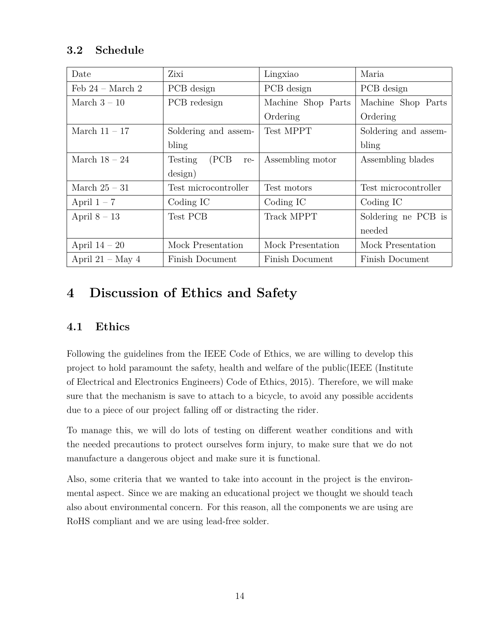#### <span id="page-13-0"></span>**3.2 Schedule**

| Date                       | Zixi                    | Lingxiao               | Maria                |
|----------------------------|-------------------------|------------------------|----------------------|
| Feb $24 - March 2$         | PCB design              | PCB design             | PCB design           |
| March $3-10$               | PCB redesign            | Machine Shop Parts     | Machine Shop Parts   |
|                            |                         | Ordering               | Ordering             |
| March $11 - 17$            | Soldering and assem-    | Test MPPT              | Soldering and assem- |
|                            | bling                   |                        | bling                |
| March $18-24$              | (PCB)<br>Testing<br>re- | Assembling motor       | Assembling blades    |
|                            | design)                 |                        |                      |
| March $25 - 31$            | Test microcontroller    |                        | Test microcontroller |
| April $1 - 7$<br>Coding IC |                         | Coding IC              | Coding IC            |
| April $8 - 13$             | Test PCB                | <b>Track MPPT</b>      | Soldering ne PCB is  |
|                            |                         |                        | needed               |
| April $14-20$              | Mock Presentation       |                        | Mock Presentation    |
| April 21 – May 4           | Finish Document         | <b>Finish Document</b> | Finish Document      |

# <span id="page-13-1"></span>**4 Discussion of Ethics and Safety**

#### <span id="page-13-2"></span>**4.1 Ethics**

Following the guidelines from the IEEE Code of Ethics, we are willing to develop this project to hold paramount the safety, health and welfare of the public(IEEE (Institute of Electrical and Electronics Engineers) Code of Ethics, 2015). Therefore, we will make sure that the mechanism is save to attach to a bicycle, to avoid any possible accidents due to a piece of our project falling off or distracting the rider.

To manage this, we will do lots of testing on different weather conditions and with the needed precautions to protect ourselves form injury, to make sure that we do not manufacture a dangerous object and make sure it is functional.

Also, some criteria that we wanted to take into account in the project is the environmental aspect. Since we are making an educational project we thought we should teach also about environmental concern. For this reason, all the components we are using are RoHS compliant and we are using lead-free solder.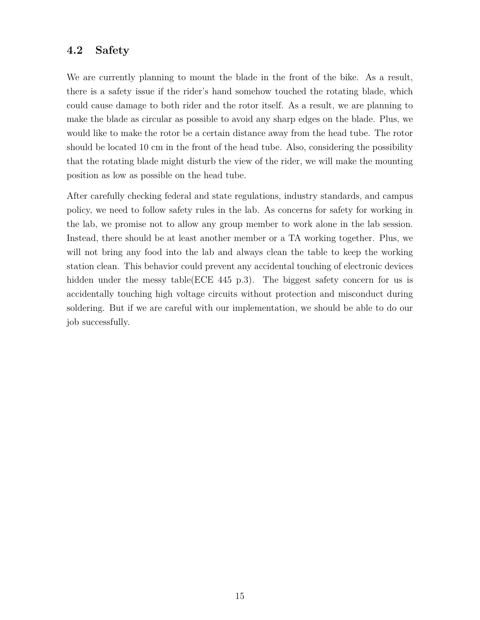#### <span id="page-14-0"></span>**4.2 Safety**

We are currently planning to mount the blade in the front of the bike. As a result, there is a safety issue if the rider's hand somehow touched the rotating blade, which could cause damage to both rider and the rotor itself. As a result, we are planning to make the blade as circular as possible to avoid any sharp edges on the blade. Plus, we would like to make the rotor be a certain distance away from the head tube. The rotor should be located 10 cm in the front of the head tube. Also, considering the possibility that the rotating blade might disturb the view of the rider, we will make the mounting position as low as possible on the head tube.

After carefully checking federal and state regulations, industry standards, and campus policy, we need to follow safety rules in the lab. As concerns for safety for working in the lab, we promise not to allow any group member to work alone in the lab session. Instead, there should be at least another member or a TA working together. Plus, we will not bring any food into the lab and always clean the table to keep the working station clean. This behavior could prevent any accidental touching of electronic devices hidden under the messy table(ECE 445 p.3). The biggest safety concern for us is accidentally touching high voltage circuits without protection and misconduct during soldering. But if we are careful with our implementation, we should be able to do our job successfully.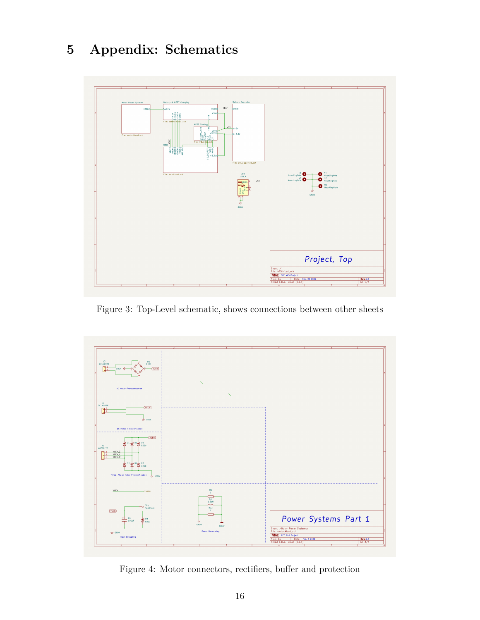# <span id="page-15-0"></span>**5 Appendix: Schematics**



Figure 3: Top-Level schematic, shows connections between other sheets



Figure 4: Motor connectors, rectifiers, buffer and protection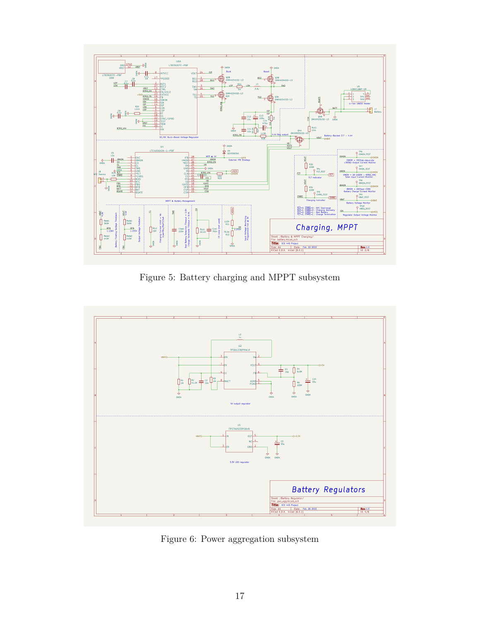

Figure 5: Battery charging and MPPT subsystem



Figure 6: Power aggregation subsystem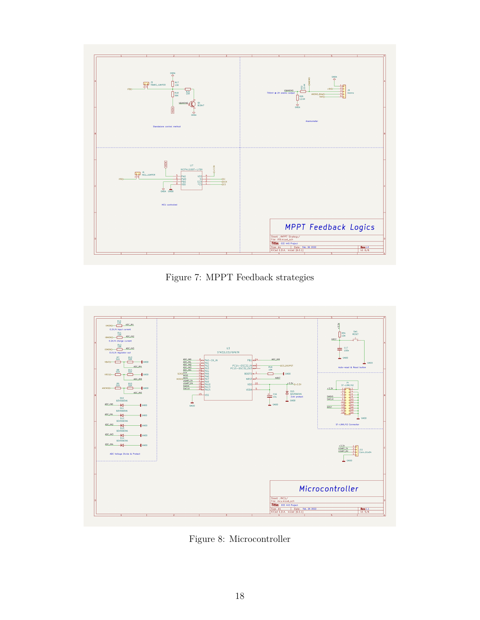

Figure 7: MPPT Feedback strategies



Figure 8: Microcontroller